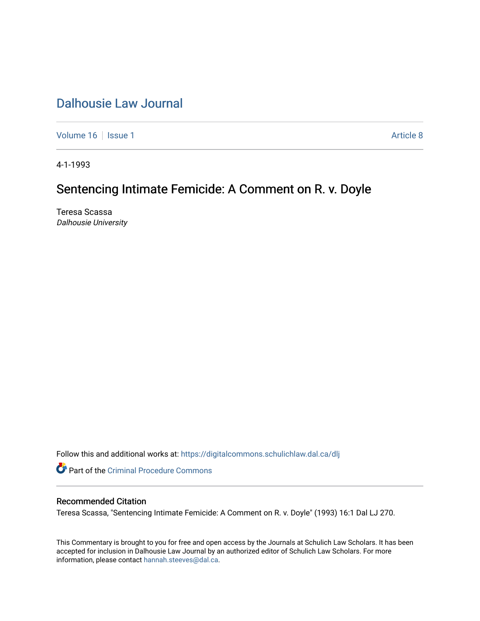## [Dalhousie Law Journal](https://digitalcommons.schulichlaw.dal.ca/dlj)

[Volume 16](https://digitalcommons.schulichlaw.dal.ca/dlj/vol16) | [Issue 1](https://digitalcommons.schulichlaw.dal.ca/dlj/vol16/iss1) Article 8

4-1-1993

# Sentencing Intimate Femicide: A Comment on R. v. Doyle

Teresa Scassa Dalhousie University

Follow this and additional works at: [https://digitalcommons.schulichlaw.dal.ca/dlj](https://digitalcommons.schulichlaw.dal.ca/dlj?utm_source=digitalcommons.schulichlaw.dal.ca%2Fdlj%2Fvol16%2Fiss1%2F8&utm_medium=PDF&utm_campaign=PDFCoverPages) 

**Part of the Criminal Procedure Commons** 

## Recommended Citation

Teresa Scassa, "Sentencing Intimate Femicide: A Comment on R. v. Doyle" (1993) 16:1 Dal LJ 270.

This Commentary is brought to you for free and open access by the Journals at Schulich Law Scholars. It has been accepted for inclusion in Dalhousie Law Journal by an authorized editor of Schulich Law Scholars. For more information, please contact [hannah.steeves@dal.ca](mailto:hannah.steeves@dal.ca).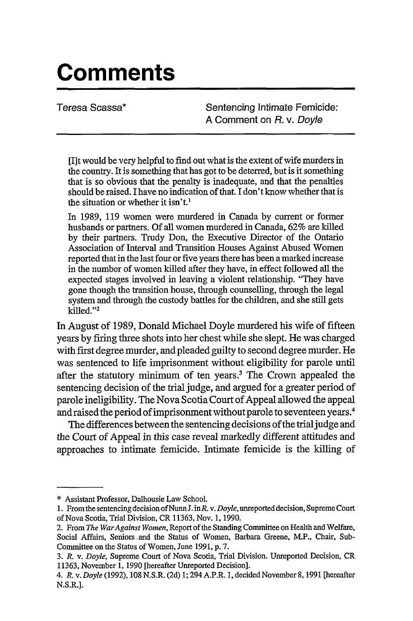# **Comments**

Teresa Scassa\* Sentencing Intimate Femicide: **A** Comment on R. v. Doyle

[I]t would be very helpful to find out what is the extent of wife murders in the country. It is something that has got to be deterred, but is it something that is so obvious that the penalty is inadequate, and that the penalties should be raised. I have no indication of that. I don't know whether that is the situation or whether it isn't.'

In 1989, 119 women were murdered in Canada by current or former husbands or partners. Of all women murdered in Canada, 62% are killed by their partners. Trudy Don, the Executive Director of the Ontario Association of Interval and Transition Houses Against Abused Women reported that in the last four or five years there has been a marked increase in the number of women killed after they have, in effect followed all the expected stages involved in leaving a violent relationship. "They have gone though the transition house, through counselling, through the legal system and through the custody battles for the children, and she still gets killed."<sup>2</sup>

In August of 1989, Donald Michael Doyle murdered his wife of fifteen years by firing three shots into her chest while she slept. He was charged with first degree murder, and pleaded guilty to second degree murder. He was sentenced to life imprisonment without eligibility for parole until after the statutory minimum of ten years.3 The Crown appealed the sentencing decision of the trial judge, and argued for a greater period of parole ineligibility. The Nova Scotia Court of Appeal allowed the appeal and raised the period of imprisonment without parole to seventeen years.<sup>4</sup>

The differences between the sentencing decisions of the trial judge and the Court of Appeal in this case reveal markedly different attitudes and approaches to intimate femicide. Intimate femicide is the killing of

<sup>\*</sup> Assistant Professor, Dalhousie Law School.

<sup>1.</sup> From the sentencing decision *of* Nunn **J.** inR v. *Doyle,* unreported decision, Supreme Court of Nova Scotia, Trial Division, CR 11363, Nov. 1, 1990.

<sup>2.</sup> From *The WarAgainst Women,* Report of the Standing Committee on Health and Welfare, Social Affairs, Seniors and the Status of Women, Barbara Greene, M.P., Chair, Sub-Committee on the Status of Women, June 1991, p. 7.

<sup>3.</sup> *R. v. Doyle,* Supreme Court of Nova Scotia, Trial Division. Unreported Decision, CR 11363, November 1, 1990 [hereafter Unreported Decision].

*<sup>4.</sup> R. v. Doyle* (1992), 108 N.S.R. (2d) 1; 294 A.P.R. 1, decided November 8, 1991 [hereafter N.S.R.].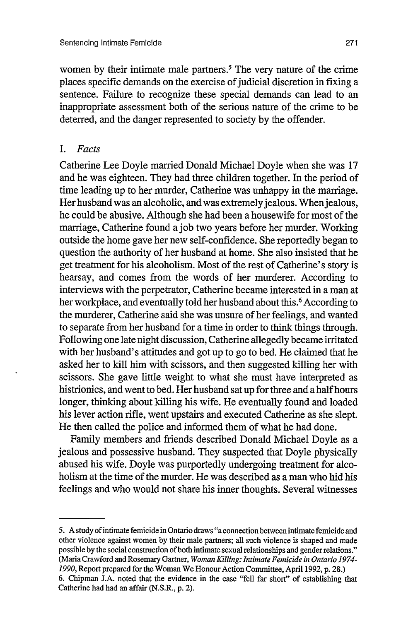women by their intimate male partners.<sup>5</sup> The very nature of the crime places specific demands on the exercise of judicial discretion in fixing a sentence. Failure to recognize these special demands can lead to an inappropriate assessment both of the serious nature of the crime to be deterred, and the danger represented to society by the offender.

#### *I. Facts*

Catherine Lee Doyle married Donald Michael Doyle when she was 17 and he was eighteen. They had three children together. In the period of time leading up to her murder, Catherine was unhappy in the marriage. Her husband was an alcoholic, and was extremely jealous. When jealous, he could be abusive. Although she had been a housewife for most of the marriage, Catherine found a job two years before her murder. Working outside the home gave her new self-confidence. She reportedly began to question the authority of her husband at home. She also insisted that he get treatment for his alcoholism. Most of the rest of Catherine's story is hearsay, and comes from the words of her murderer. According to interviews with the perpetrator, Catherine became interested in a man at her workplace, and eventually told her husband about this.<sup>6</sup> According to the murderer, Catherine said she was unsure of her feelings, and wanted to separate from her husband for a time in order to think things through. Following one late night discussion, Catherine allegedly became irritated with her husband's attitudes and got up to go to bed. He claimed that he asked her to kill him with scissors, and then suggested killing her with scissors. She gave little weight to what she must have interpreted as histrionics, and went to bed. Her husband sat up for three and a half hours longer, thinking about killing his wife. He eventually found and loaded his lever action rifle, went upstairs and executed Catherine as she slept. He then called the police and informed them of what he had done.

Family members and friends described Donald Michael Doyle as a jealous and possessive husband. They suspected that Doyle physically abused his wife. Doyle was purportedly undergoing treatment for alcoholism at the time of the murder. He was described as a man who hid his feelings and who would not share his inner thoughts. Several witnesses

*<sup>5.</sup>* A study ofintimate femicide in Ontario draws "a connection between intimate femicide and other violence against women by their male partners; all such violence is shaped and made possible by the social construction of both intimate sexual relationships and gender relations." (Maria Crawford and Rosemary Gartner, *Woman Killing: Intimate Femicide in Ontario 1974- 1990,* Report prepared for the Woman We Honour Action Committee, April 1992, p. 28.) 6. Chipman J.A. noted that the evidence in the case "fell far short" of establishing that Catherine had had an affair (N.S.R., p. 2).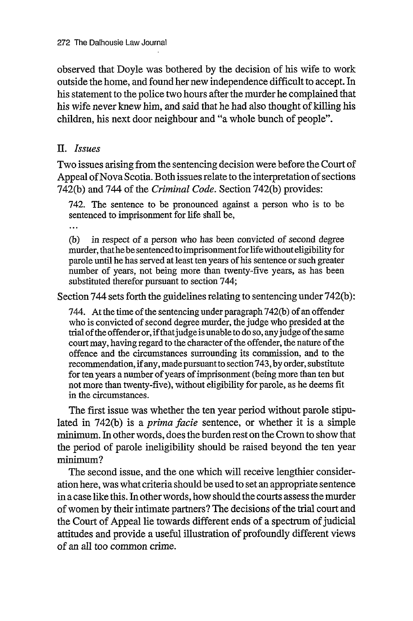observed that Doyle was bothered by the decision of his wife to work outside the home, and found her new independence difficult to accept. In his statement to the police two hours after the murder he complained that his wife never knew him, and said that he had also thought of killing his children, his next door neighbour and "a whole bunch of people".

#### *II. Issues*

Two issues arising from the sentencing decision were before the Court of Appeal of Nova Scotia. Both issues relate to the interpretation of sections 742(b) and 744 of the *Criminal Code.* Section 742(b) provides:

742. The sentence to be pronounced against a person who is to be sentenced to imprisonment for life shall be,

 $\ddotsc$ 

(b) in respect of a person who has been convicted of second degree murder, thathebe sentenced to imprisonment for life without eligibility for parole until he has served at least ten years of his sentence or such greater number of years, not being more than twenty-five years, as has been substituted therefor pursuant to section 744;

Section 744 sets forth the guidelines relating to sentencing under 742(b):

744. At the time of the sentencing under paragraph 742(b) of an offender who is convicted of second degree murder, the judge who presided at the trial of the offender or, if that judge is unable to do so, any judge of the same court may, having regard to the character of the offender, the nature of the offence and the circumstances surrounding its commission, and to the recommendation, if any, made pursuant to section 743, by order, substitute for ten years a number of years of imprisonment (being more than ten but not more than twenty-five), without eligibility for parole, as he deems fit in the circumstances.

The first issue was whether the ten year period without parole stipulated in 742(b) is a *prima facie* sentence, or whether it is a simple minimum. In other words, does the burden rest on the Crown to show that the period of parole ineligibility should be raised beyond the ten year minimum?

The second issue, and the one which will receive lengthier consideration here, was what criteria should be used to set an appropriate sentence in a case like this. In other words, how should the courts assess the murder of women by their intimate partners? The decisions of the trial court and the Court of Appeal lie towards different ends of a spectrum of judicial attitudes and provide a useful illustration of profoundly different views of an all too common crime.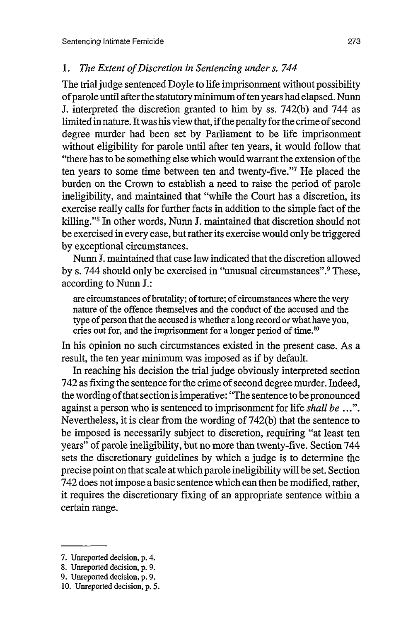#### *1. The Extent of Discretion in Sentencing under s. 744*

The trial judge sentenced Doyle to life imprisonment without possibility of parole until after the statutory minimum often years had elapsed. Nunn J. interpreted the discretion granted to him by ss. 742(b) and 744 as limited in nature. It was his view that, if the penalty for the crime of second degree murder had been set by Parliament to be life imprisonment without eligibility for parole until after ten years, it would follow that "there has to be something else which would warrant the extension of the ten years to some time between ten and twenty-five."7 He placed the burden on the Crown to establish a need to raise the period of parole ineligibility, and maintained that "while the Court has a discretion, its exercise really calls for further facts in addition to the simple fact of the killing."<sup>8</sup> In other words, Nunn J. maintained that discretion should not be exercised in every case, but rather its exercise would only be triggered by exceptional circumstances.

Nunn J. maintained that case law indicated that the discretion allowed by s. 744 should only be exercised in "unusual circumstances". 9 These, according to Nunn J.:

are circumstances of brutality; of torture; of circumstances where the very nature of the offence themselves and the conduct of the accused and the type of person that the accused is whether a long record or what have you, cries out for, and the imprisonment for a longer period of time.<sup>10</sup>

In his opinion no such circumstances existed in the present case. As a result, the ten year minimum was imposed as if by default.

In reaching his decision the trial judge obviously interpreted section 742 as fixing the sentence for the crime of second degree murder. Indeed, the wording of that section is imperative: "The sentence to be pronounced against a person who is sentenced to imprisonment for life *shall be ... ".* Nevertheless, it is clear from the wording of 742(b) that the sentence to be imposed is necessarily subject to discretion, requiring "at least ten years" of parole ineligibility, but no more than twenty-five. Section 744 sets the discretionary guidelines by which a judge is to determine the precise point on that scale at which parole ineligibility will be set. Section 742 does not impose a basic sentence which can then be modified, rather, it requires the discretionary fixing of an appropriate sentence within a certain range.

<sup>7.</sup> Unreported decision, p. 4.

<sup>8.</sup> Unreported decision, p. 9.

<sup>9.</sup> Unreported decision, p. 9.

<sup>10.</sup> Unreported decision, p. 5.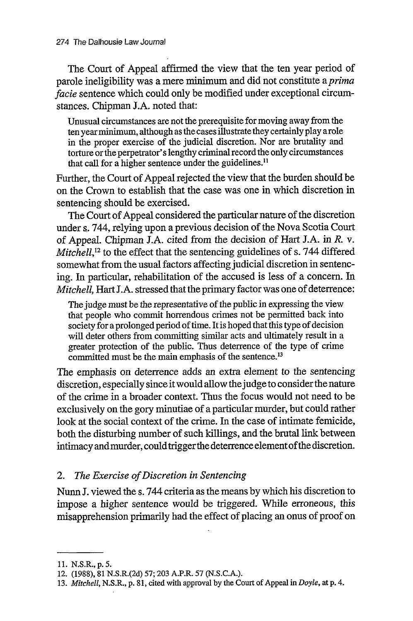The Court of Appeal affirmed the view that the ten year period of parole ineligibility was a mere minimum and did not constitute *a prima facie* sentence which could only be modified under exceptional circumstances. Chipman J.A. noted that:

Unusual circumstances are not the prerequisite for moving away from the ten year minimum, although as the cases illustrate they certainly play a role in the proper exercise of the judicial discretion. Nor are brutality and torture or the perpetrator's lengthy criminal record the only circumstances that call for a higher sentence under the guidelines.<sup>11</sup>

Further, the Court of Appeal rejected the view that the burden should be on the Crown to establish that the case was one in which discretion in sentencing should be exercised.

The Court of Appeal considered the particular nature of the discretion under s. 744, relying upon a previous decision of the Nova Scotia Court of Appeal. Chipman J.A. cited from the decision of Hart J.A. in *R.* v. *Mitchell*,<sup>12</sup> to the effect that the sentencing guidelines of s. 744 differed somewhat from the usual factors affecting judicial discretion in sentencing. In particular, rehabilitation of the accused is less of a concern. In *Mitchell, Hart J.A.* stressed that the primary factor was one of deterrence:

The judge must be the representative of the public in expressing the view that people who commit horrendous crimes not be permitted back into society for a prolonged period of time. It is hoped that this type of decision will deter others from committing similar acts and ultimately result in a greater protection of the public. Thus deterrence of the type of crime committed must be the main emphasis of the sentence.<sup>13</sup>

The emphasis on deterrence adds an extra element to the sentencing discretion, especially since it would allow the judge to consider the nature of the crime in a broader context. Thus the focus would not need to be exclusively on the gory minutiae of a particular murder, but could rather look at the social context of the crime. In the case of intimate femicide, both the disturbing number of such killings, and the brutal link between intimacy and murder, could trigger the deterrence element of the discretion.

#### *2. The Exercise of Discretion in Sentencing*

Nunn J. viewed the s. 744 criteria as the means by which his discretion to impose a higher sentence would be triggered. While erroneous, this misapprehension primarily had the effect of placing an onus of proof on

<sup>11.</sup> N.S.R., p. 5.

<sup>12. (1988), 81</sup> N.S.R.(2d) 57; 203 A.P.R. 57 (N.S.C.A.).

*<sup>13.</sup> Mitchell,* N.S.R., p. **81,** cited with approval by the Court of Appeal in *Doyle,* at p. 4.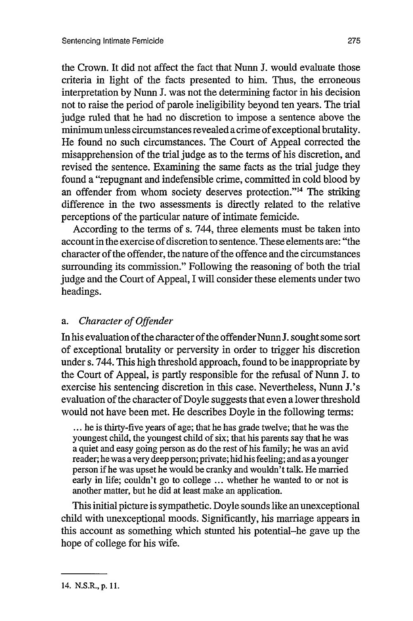the Crown. It did not affect the fact that Nunn J. would evaluate those criteria in light of the facts presented to him. Thus, the erroneous interpretation by Nunn J. was not the determining factor in his decision not to raise the period of parole ineligibility beyond ten years. The trial judge ruled that he had no discretion to impose a sentence above the minimum unless circumstances revealed a crime of exceptional brutality. He found no such circumstances. The Court of Appeal corrected the misapprehension of the trial judge as to the terms of his discretion, and revised the sentence. Examining the same facts as the trial judge they found a "repugnant and indefensible crime, committed in cold blood by an offender from whom society deserves protection."14 The striking difference in the two assessments is directly related to the relative perceptions of the particular nature of intimate femicide.

According to the terms of s. 744, three elements must be taken into account in the exercise of discretion to sentence. These elements are: "the character of the offender, the nature of the offence and the circumstances surrounding its commission." Following the reasoning of both the trial judge and the Court of Appeal, I will consider these elements under two headings.

#### *a. Character of Offender*

In his evaluation of the character of the offender Nunn J. sought some sort of exceptional brutality or perversity in order to trigger his discretion under s. 744. This high threshold approach, found to be inappropriate by the Court of Appeal, is partly responsible for the refusal of Nunn J. to exercise his sentencing discretion in this case. Nevertheless, Nunn J.'s evaluation of the character of Doyle suggests that even a lower threshold would not have been met. He describes Doyle in the following terms:

**...** he is thirty-five years of age; that he has grade twelve; that he was the youngest child, the youngest child of six; that his parents say that he was a quiet and easy going person as do the rest of his family; he was an avid reader; he was a very deep person; private; hid his feeling; and as ayounger person if he was upset he would be cranky and wouldn't talk. He married early in life; couldn't go to college ... whether he wanted to or not is another matter, but he did at least make an application.

This initial picture is sympathetic. Doyle sounds like an unexceptional child with unexceptional moods. Significantly, his marriage appears in this account as something which stunted his potential-he gave up the hope of college for his wife.

<sup>14.</sup> N.S.R., p. **11.**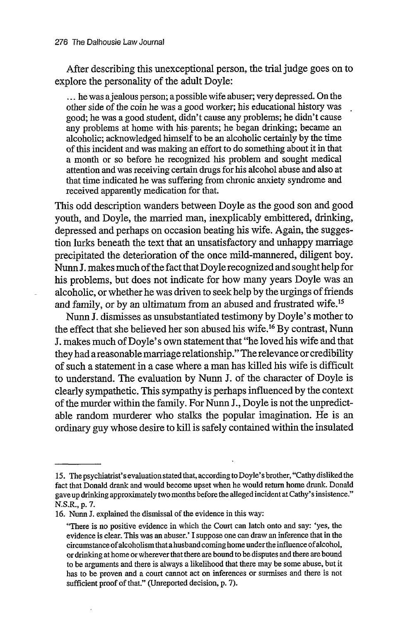After describing this unexceptional person, the trial judge goes on to explore the personality of the adult Doyle:

**...** he was ajealous person; a possible wife abuser; very depressed. On the other side of the coin he was a good worker; his educational history was good; he was a good student, didn't cause any problems; he didn't cause any problems at home with his parents; he began drinking; became an alcoholic; acknowledged himself to be an alcoholic certainly by the time of this incident and was making an effort to do something about it in that a month or so before he recognized his problem and sought medical attention and was receiving certain drugs for his alcohol abuse and also at that time indicated he was suffering from chronic anxiety syndrome and received apparently medication for that.

This odd description wanders between Doyle as the good son and good youth, and Doyle, the married man, inexplicably embittered, drinking, depressed and perhaps on occasion beating his wife. Again, the suggestion lurks beneath the text that an unsatisfactory and unhappy marriage precipitated the deterioration of the once mild-mannered, diligent boy. Nunn J. makes much of the fact that Doyle recognized and sought help for his problems, but does not indicate for how many years Doyle was an alcoholic, or whether he was driven to seek help by the urgings of friends and family, or by an ultimatum from an abused and frustrated wife.<sup>15</sup>

Nunn J. dismisses as unsubstantiated testimony by Doyle's mother to the effect that she believed her son abused his wife. 16 By contrast, Nunn **I.** makes much of Doyle's own statement that "he loved his wife and that they had areasonable marriage relationship." The relevance or credibility of such a statement in a case where a man has killed his wife is difficult to understand. The evaluation by Nunn J. of the character of Doyle is clearly sympathetic. This sympathy is perhaps influenced by the context of the murder within the family. For Nunn J., Doyle is not the unpredictable random murderer who stalks the popular imagination. He is an ordinary guy whose desire to kill is safely contained within the insulated

<sup>15.</sup> The psychiatrist's evaluation stated that, according to Doyle's brother, "Cathy disliked the fact that Donald drank and would become upset when he would return home drunk. Donald gave up drinking approximately two months before the alleged incident at Cathy's insistence." N.S.R., **p.** 7.

<sup>16.</sup> Nunn J. explained the dismissal of the evidence in this way:

<sup>&</sup>quot;There is no positive evidence in which the Court can latch onto and say: 'yes, the evidence is clear. This was an abuser.' I suppose one can draw an inference that in the circumstance of alcoholism that a husband coming home under the influence of alcohol, or drinking at home or wherever that there are bound to be disputes and there are bound to be arguments and there is always a likelihood that there may be some abuse, but it has to be proven and a court cannot act on inferences or surmises and there is not sufficient proof of that." (Unreported decision, p. 7).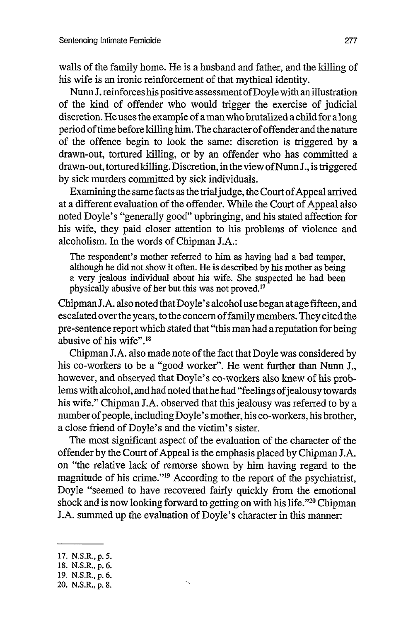walls of the family home. He is a husband and father, and the killing of his wife is an ironic reinforcement of that mythical identity.

Nunn J. reinforces his positive assessment of Doyle with an illustration of the kind of offender who would trigger the exercise of judicial discretion. He uses the example of a man who brutalized a child for a long period of time before killing him. The character of offender and the nature of the offence begin to look the same: discretion is triggered by a drawn-out, tortured killing, or by an offender who has committed a drawn-out, tortured killing. Discretion, in the view of Nunn J., is triggered by sick murders committed by sick individuals.

Examining the same facts as the trial judge, the Court of Appeal arrived at a different evaluation of the offender. While the Court of Appeal also noted Doyle's "generally good" upbringing, and his stated affection for his wife, they paid closer attention to his problems of violence and alcoholism. In the words of Chipman J.A.:

The respondent's mother referred to him as having had a bad temper, although he did not show it often. He is described by his mother as being a very jealous individual about his wife. She suspected he had been physically abusive of her but this was not proved.<sup>17</sup>

ChipmanJ.A. also noted that Doyle's alcohol use began at age fifteen, and escalated over the years, to the concern of family members. They cited the pre-sentence report which stated that "this man had a reputation for being abusive of his wife".<sup>18</sup>

Chipman J.A. also made note of the fact that Doyle was considered by his co-workers to be a "good worker". He went further than Nunn J., however, and observed that Doyle's co-workers also knew of his problems with alcohol, and had noted that he had "feelings of jealousy towards his wife." Chipman J.A. observed that this jealousy was referred to by a number of people, including Doyle's mother, his co-workers, his brother, a close friend of Doyle's and the victim's sister.

The most significant aspect of the evaluation of the character of the offender by the Court of Appeal is the emphasis placed by Chipman J.A. on "the relative lack of remorse shown by him having regard to the magnitude of his crime."<sup>19</sup> According to the report of the psychiatrist, Doyle "seemed to have recovered fairly quickly from the emotional shock and is now looking forward to getting on with his life."2° Chipman J.A. summed up the evaluation of Doyle's character in this manner:

<sup>17.</sup> N.S.R., p. 5.

<sup>18.</sup> N.S.R., p. 6.

<sup>19.</sup> N.S.R., p. 6.

<sup>20.</sup> N.S.R., p. 8.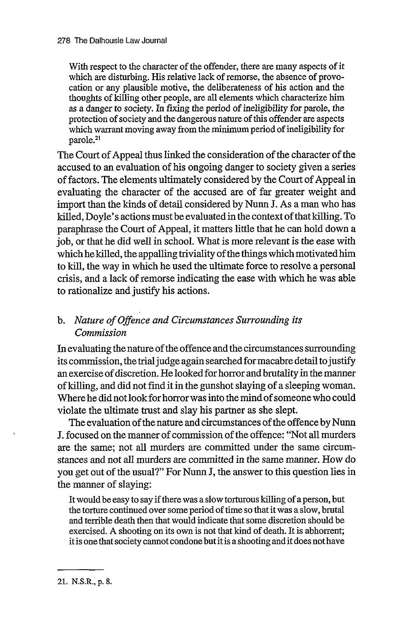With respect to the character of the offender, there are many aspects of it which are disturbing. His relative lack of remorse, the absence of provocation or any plausible motive, the deliberateness of his action and the thoughts of killing other people, are all elements which characterize him as a danger to society. In fixing the period of ineligibility for parole, the protection of society and the dangerous nature of this offender are aspects which warrant moving away from the minimum period of ineligibility for parole.<sup>21</sup>

The Court of Appeal thus linked the consideration of the character of the accused to an evaluation of his ongoing danger to society given a series of factors. The elements ultimately considered by the Court of Appeal in evaluating the character of the accused are of far greater weight and import than the kinds of detail considered by Nunn J. As a man who has killed, Doyle's actions must be evaluated in the context of that killing. To paraphrase the Court of Appeal, it matters little that he can hold down a job, or that he did well in school. What is more relevant is the ease with which he killed, the appalling triviality of the things which motivated him to kill, the way in which he used the ultimate force to resolve a personal crisis, and a lack of remorse indicating the ease with which he was able to rationalize and justify his actions.

### *b. Nature of Offence and Circumstances Surrounding its Commission*

In evaluating the nature of the offence and the circumstances surrounding its commission, the trial judge again searched for macabre detail to justify an exercise of discretion. He looked for horror and brutality in the manner of killing, and did not find it in the gunshot slaying of a sleeping woman. Where he did not look for horror was into the mind of someone who could violate the ultimate trust and slay his partner as she slept.

The evaluation of the nature and circumstances of the offence by Nunn J. focused on the manner of commission of the offence: "Not all murders are the same; not all murders are committed under the same circumstances and not all murders are committed in the same manner. How do you get out of the usual?" For Nunn J, the answer to this question lies in the manner of slaying:

It would be easy to say if there was a slow torturous killing of a person, but the torture continued over some period of time so that it was a slow, brutal and terrible death then that would indicate that some discretion should be exercised. A shooting on its own is not that kind of death. It is abhorrent; it is one that society cannot condone but it is a shooting and it does not have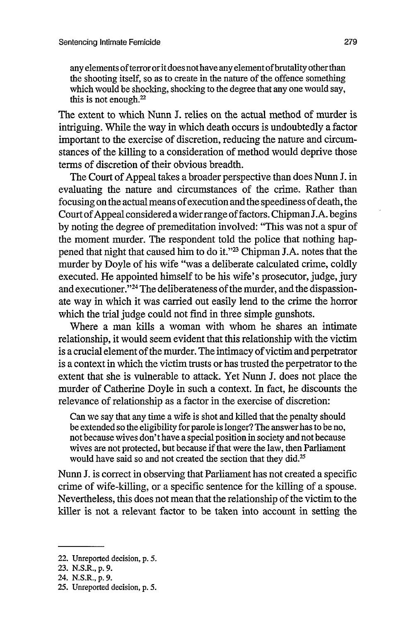any elements of terror or it does not have any element of brutality other than the shooting itself, so as to create in the nature of the offence something which would be shocking, shocking to the degree that any one would say, this is not enough.<sup>22</sup>

The extent to which Nunn J. relies on the actual method of murder is intriguing. While the way in which death occurs is undoubtedly a factor important to the exercise of discretion, reducing the nature and circumstances of the killing to a consideration of method would deprive those terms of discretion of their obvious breadth.

The Court of Appeal takes a broader perspective than does Nunn J. in evaluating the nature and circumstances of the crime. Rather than focusing on the actual means of execution and the speediness of death, the Court of Appeal considered a wider range of factors. Chipman J.A. begins by noting the degree of premeditation involved: "This was not a spur of the moment murder. The respondent told the police that nothing happened that night that caused him to do it."23 Chipman J.A. notes that the murder by Doyle of his wife "was a deliberate calculated crime, coldly executed. He appointed himself to be his wife's prosecutor, judge, jury and executioner."<sup>24</sup> The deliberateness of the murder, and the dispassionate way in which it was carried out easily lend to the crime the horror which the trial judge could not find in three simple gunshots.

Where a man kills a woman with whom he shares an intimate relationship, it would seem evident that this relationship with the victim is a crucial element of the murder. The intimacy of victim and perpetrator is a context in which the victim trusts or has trusted the perpetrator to the extent that she is vulnerable to attack. Yet Nunn J. does not place the murder of Catherine Doyle in such a context. In fact, he discounts the relevance of relationship as a factor in the exercise of discretion:

Can we say that any time a wife is shot and killed that the penalty should be extended so the eligibility for parole is longer? The answer has to be no, not because wives don't have a special position in society and not because wives are not protected, but because if that were the law, then Parliament would have said so and not created the section that they did.<sup>25</sup>

Nunn J. is correct in observing that Parliament has not created a specific crime of wife-killing, or a specific sentence for the killing of a spouse. Nevertheless, this does not mean that the relationship of the victim to the killer is not a relevant factor to be taken into account in setting the

<sup>22.</sup> Unreported decision, p. 5.

<sup>23.</sup> N.S.R., p. 9.

<sup>24.</sup> N.S.R., p. 9.

<sup>25.</sup> Unreported decision, p. 5.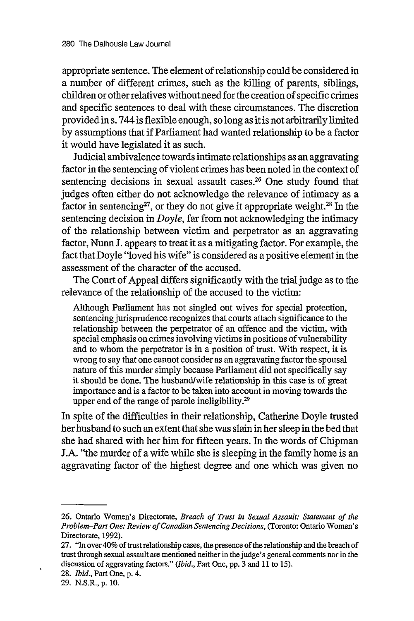appropriate sentence. The element of relationship could be considered in a number of different crimes, such as the killing of parents, siblings, children or other relatives without need for the creation of specific crimes and specific sentences to deal with these circumstances. The discretion provided in s. 744 is flexible enough, so long as it is not arbitrarily limited by assumptions that if Parliament had wanted relationship to be a factor it would have legislated it as such.

Judicial ambivalence towards intimate relationships as an aggravating factor in the sentencing of violent crimes has been noted in the context of sentencing decisions in sexual assault cases. $26$  One study found that judges often either do not acknowledge the relevance of intimacy as a factor in sentencing<sup>27</sup>, or they do not give it appropriate weight.<sup>28</sup> In the sentencing decision in *Doyle,* far from not acknowledging the intimacy of the relationship between victim and perpetrator as an aggravating factor, Nunn J. appears to treat it as a mitigating factor. For example, the fact that Doyle "loved his wife" is considered as a positive element in the assessment of the character of the accused.

The Court of Appeal differs significantly with the trial judge as to the relevance of the relationship of the accused to the victim:

Although Parliament has not singled out wives for special protection, sentencing jurisprudence recognizes that courts attach significance to the relationship between the perpetrator of an offence and the victim, with special emphasis on crimes involving victims in positions of vulnerability and to whom the perpetrator is in a position of trust. With respect, it is wrong to say that one cannot consider as an aggravating factor the spousal nature of this murder simply because Parliament did not specifically say it should be done. The husband/wife relationship in this case is of great importance and is a factor to be taken into account in moving towards the upper end of the range of parole ineligibility.<sup>29</sup>

In spite of the difficulties in their relationship, Catherine Doyle trusted her husband to such an extent that she was slain in her sleep in the bed that she had shared with her him for fifteen years. In the words of Chipman J.A. "the murder of a wife while she is sleeping in the family home is an aggravating factor of the highest degree and one which was given no

 $\ddot{\phantom{0}}$ 

<sup>26.</sup> Ontario Women's Directorate, *Breach of Trust in Sexual Assault: Statement of the Problem-Part One: Review of Canadian Sentencing Decisions,* (Toronto: Ontario Women's Directorate, 1992).

<sup>27. &</sup>quot;In over 40% of trust relationship cases, the presence of the relationship and the breach of trust through sexual assault are mentioned neither in the judge's general comments nor in the discussion of aggravating factors." *(Ibid.,* Part One, pp. 3 and 11 to 15).

<sup>28.</sup> *Ibid.,* Part One, p. 4.

<sup>29.</sup> N.S.R., p. 10.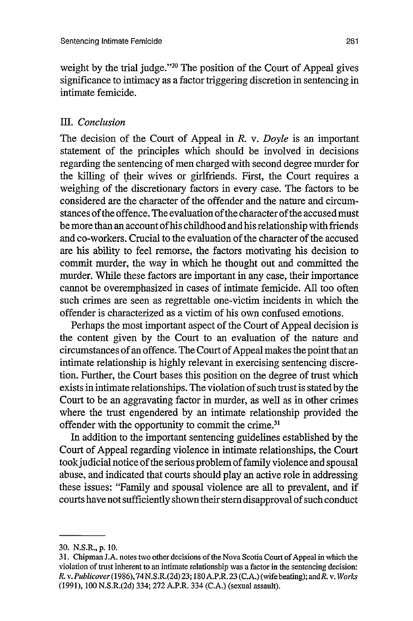weight by the trial judge."<sup>30</sup> The position of the Court of Appeal gives significance to intimacy as a factor triggering discretion in sentencing in intimate femicide.

#### IEL *Conclusion*

The decision of the Court of Appeal in *R.* v. *Doyle* is an important statement of the principles which should be involved in decisions regarding the sentencing of men charged with second degree murder for the killing of their wives or girlfriends. First, the Court requires a weighing of the discretionary factors in every case. The factors to be considered are the character of the offender and the nature and circumstances of the offence. The evaluation of the character of the accused must be more than an account of his childhood and his relationship with friends and co-workers. Crucial to the evaluation of the character of the accused are his ability to feel remorse, the factors motivating his decision to commit murder, the way in which he thought out and committed the murder. While these factors are important in any case, their importance cannot be overemphasized in cases of intimate femicide. All too often such crimes are seen as regrettable one-victim incidents in which the offender is characterized as a victim of his own confused emotions.

Perhaps the most important aspect of the Court of Appeal decision is the content given by the Court to an evaluation of the nature and circumstances of an offence. The Court of Appeal makes the point that an intimate relationship is highly relevant in exercising sentencing discretion. Further, the Court bases this position on the degree of trust which exists in intimate relationships. The violation of such trust is stated by the Court to be an aggravating factor in murder, as well as in other crimes where the trust engendered by an intimate relationship provided the offender with the opportunity to commit the crime.<sup>31</sup>

In addition to the important sentencing guidelines established by the Court of Appeal regarding violence in intimate relationships, the Court took judicial notice of the serious problem of family violence and spousal abuse, and indicated that courts should play an active role in addressing these issues: "Family and spousal violence are all to prevalent, and if courts have not sufficiently shown their stem disapproval of such conduct

<sup>30.</sup> N.S.R., p. 10.

<sup>31.</sup> Chipman J.A. notes two other decisions of the Nova Scotia Court of Appeal in which the violation of trust inherent to an intimate relationship was a factor in the sentencing decision: *R. v. Publicover* **(1986),74N.S.R.(2d)** 23; 180 A.P.R. 23 (C.A.) (wife beating); andR. v. *Works* (1991), 100 N.S.R.(2d) 334; 272 A.P.R. 334 (C.A.) (sexual assault).